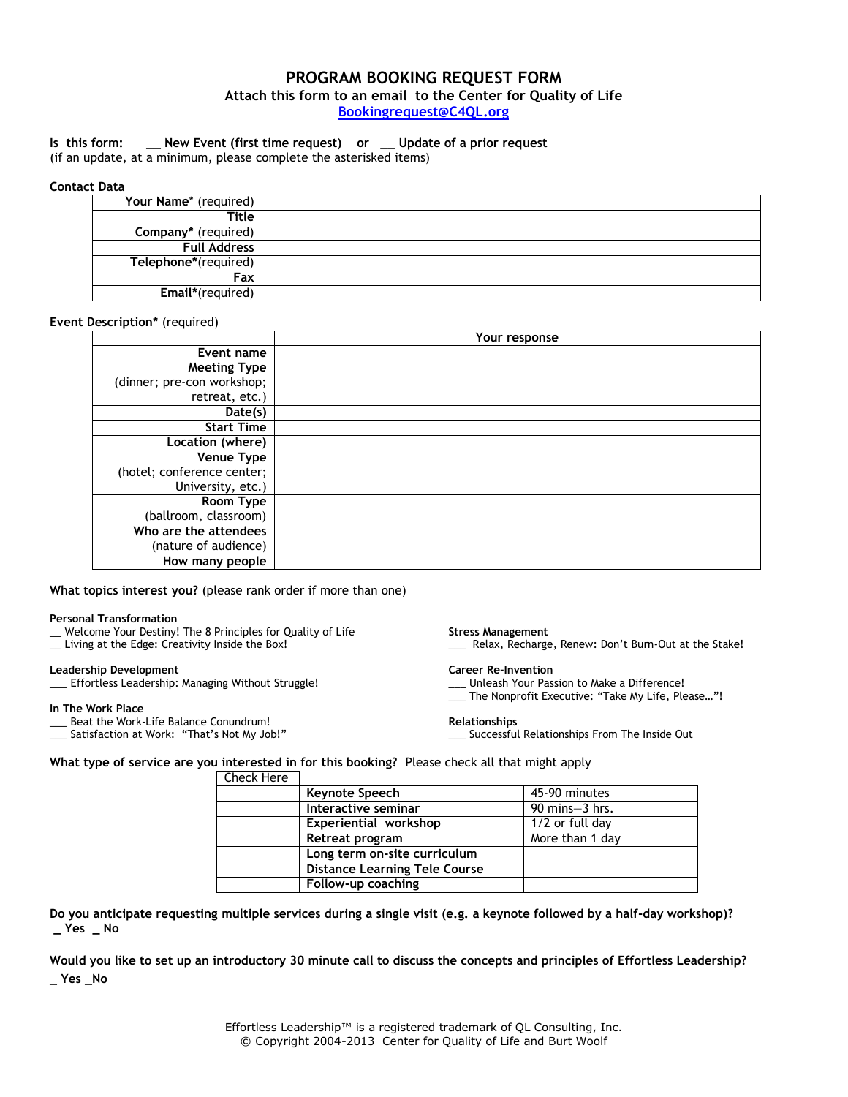# **PROGRAM BOOKING REQUEST FORM Attach this form to an email to the Center for Quality of Life [Bookingrequest@C4QL.org](mailto:Bookingrequest@C4QL.org)**

## **Is this form: \_\_ New Event (first time request) or \_\_ Update of a prior request**

(if an update, at a minimum, please complete the asterisked items)

### **Contact Data**

| Your Name* (required) |  |
|-----------------------|--|
| Title                 |  |
| Company* (required)   |  |
| <b>Full Address</b>   |  |
| Telephone*(required)  |  |
| Fax                   |  |
| Email*(required)      |  |

### **Event Description\*** (required)

|                            | Your response |  |
|----------------------------|---------------|--|
| Event name                 |               |  |
| <b>Meeting Type</b>        |               |  |
| (dinner; pre-con workshop; |               |  |
| retreat, etc.)             |               |  |
| Date(s)                    |               |  |
| <b>Start Time</b>          |               |  |
| Location (where)           |               |  |
| <b>Venue Type</b>          |               |  |
| (hotel; conference center; |               |  |
| University, etc.)          |               |  |
| Room Type                  |               |  |
| (ballroom, classroom)      |               |  |
| Who are the attendees      |               |  |
| (nature of audience)       |               |  |
| How many people            |               |  |

### **What topics interest you?** (please rank order if more than one)

### **Personal Transformation**

- \_\_ Welcome Your Destiny! The 8 Principles for Quality of Life
- \_\_ Living at the Edge: Creativity Inside the Box!

### **Leadership Development**

\_\_\_ Effortless Leadership: Managing Without Struggle!

### **In The Work Place**

- Beat the Work-Life Balance Conundrum!
- Satisfaction at Work: "That's Not My Job!"

#### **Stress Management**

\_\_\_ Relax, Recharge, Renew: Don't Burn-Out at the Stake!

#### **Career Re-Invention**

- \_\_\_ Unleash Your Passion to Make a Difference!
- \_\_\_ The Nonprofit Executive: "Take My Life, Please…"!

#### **Relationships**

\_\_\_ Successful Relationships From The Inside Out

**What type of service are you interested in for this booking?** Please check all that might apply Check Here

| ---------- |                                      |                                     |
|------------|--------------------------------------|-------------------------------------|
|            | Keynote Speech                       | 45-90 minutes                       |
|            | Interactive seminar                  | $90 \text{ mins} - 3 \text{ hrs}$ . |
|            | Experiential workshop                | 1/2 or full day                     |
|            | Retreat program                      | More than 1 day                     |
|            | Long term on-site curriculum         |                                     |
|            | <b>Distance Learning Tele Course</b> |                                     |
|            | Follow-up coaching                   |                                     |

**Do you anticipate requesting multiple services during a single visit (e.g. a keynote followed by a half-day workshop)? \_ Yes \_ No** 

**Would you like to set up an introductory 30 minute call to discuss the concepts and principles of Effortless Leadership? \_ Yes \_No**